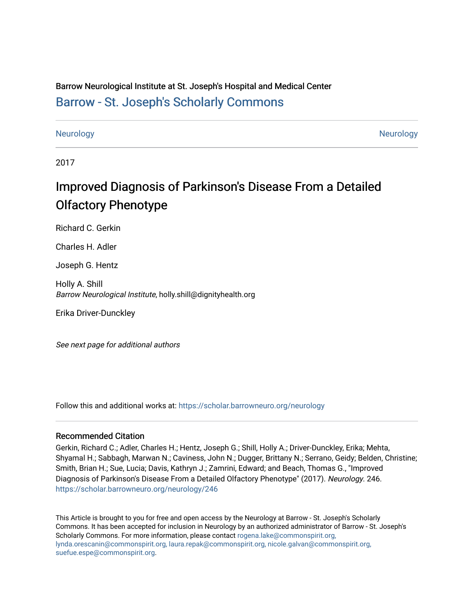## Barrow Neurological Institute at St. Joseph's Hospital and Medical Center [Barrow - St. Joseph's Scholarly Commons](https://scholar.barrowneuro.org/)

#### [Neurology](https://scholar.barrowneuro.org/neurology) [Neurology](https://scholar.barrowneuro.org/neurology-all)

2017

# Improved Diagnosis of Parkinson's Disease From a Detailed Olfactory Phenotype

Richard C. Gerkin

Charles H. Adler

Joseph G. Hentz

Holly A. Shill Barrow Neurological Institute, holly.shill@dignityhealth.org

Erika Driver-Dunckley

See next page for additional authors

Follow this and additional works at: [https://scholar.barrowneuro.org/neurology](https://scholar.barrowneuro.org/neurology?utm_source=scholar.barrowneuro.org%2Fneurology%2F246&utm_medium=PDF&utm_campaign=PDFCoverPages) 

#### Recommended Citation

Gerkin, Richard C.; Adler, Charles H.; Hentz, Joseph G.; Shill, Holly A.; Driver-Dunckley, Erika; Mehta, Shyamal H.; Sabbagh, Marwan N.; Caviness, John N.; Dugger, Brittany N.; Serrano, Geidy; Belden, Christine; Smith, Brian H.; Sue, Lucia; Davis, Kathryn J.; Zamrini, Edward; and Beach, Thomas G., "Improved Diagnosis of Parkinson's Disease From a Detailed Olfactory Phenotype" (2017). Neurology. 246. [https://scholar.barrowneuro.org/neurology/246](https://scholar.barrowneuro.org/neurology/246?utm_source=scholar.barrowneuro.org%2Fneurology%2F246&utm_medium=PDF&utm_campaign=PDFCoverPages) 

This Article is brought to you for free and open access by the Neurology at Barrow - St. Joseph's Scholarly Commons. It has been accepted for inclusion in Neurology by an authorized administrator of Barrow - St. Joseph's Scholarly Commons. For more information, please contact [rogena.lake@commonspirit.org,](mailto:rogena.lake@commonspirit.org,%20lynda.orescanin@commonspirit.org,%20laura.repak@commonspirit.org,%20nicole.galvan@commonspirit.org,%20suefue.espe@commonspirit.org) [lynda.orescanin@commonspirit.org, laura.repak@commonspirit.org, nicole.galvan@commonspirit.org,](mailto:rogena.lake@commonspirit.org,%20lynda.orescanin@commonspirit.org,%20laura.repak@commonspirit.org,%20nicole.galvan@commonspirit.org,%20suefue.espe@commonspirit.org)  [suefue.espe@commonspirit.org](mailto:rogena.lake@commonspirit.org,%20lynda.orescanin@commonspirit.org,%20laura.repak@commonspirit.org,%20nicole.galvan@commonspirit.org,%20suefue.espe@commonspirit.org).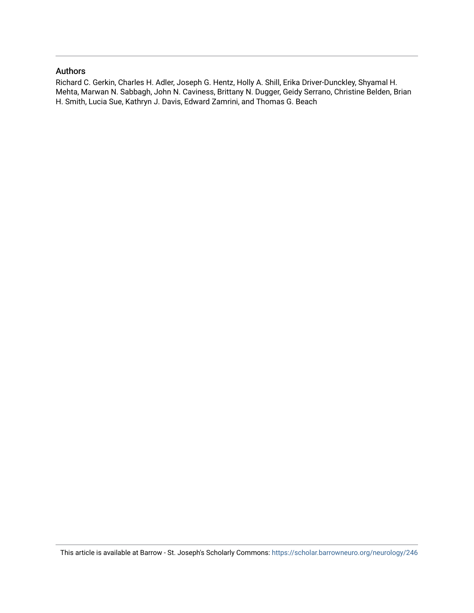### Authors

Richard C. Gerkin, Charles H. Adler, Joseph G. Hentz, Holly A. Shill, Erika Driver-Dunckley, Shyamal H. Mehta, Marwan N. Sabbagh, John N. Caviness, Brittany N. Dugger, Geidy Serrano, Christine Belden, Brian H. Smith, Lucia Sue, Kathryn J. Davis, Edward Zamrini, and Thomas G. Beach

This article is available at Barrow - St. Joseph's Scholarly Commons:<https://scholar.barrowneuro.org/neurology/246>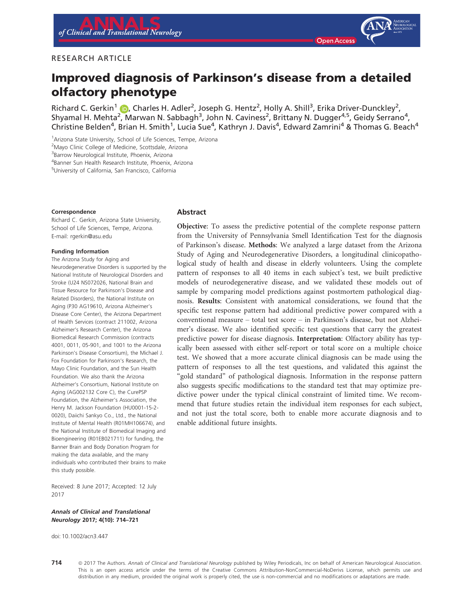#### RESEARCH ARTICLE



## Improved diagnosis of Parkinson's disease from a detailed olfactory phenotype

Richard C. Gerkin<sup>1</sup> (D, Charles H. Adler<sup>2</sup>, Joseph G. Hentz<sup>2</sup>, Holly A. Shill<sup>3</sup>, Erika Driver-Dunckley<sup>2</sup>, Shyamal H. Mehta<sup>[2](http://orcid.org/0000-0002-2940-3378)</sup>, Marwan N. Sabbagh<sup>3</sup>, John N. Caviness<sup>2</sup>, Brittany N. Dugger<sup>4,5</sup>, Geidy Serrano<sup>4</sup>, Christine Belden<sup>4</sup>, Brian H. Smith<sup>1</sup>, Lucia Sue<sup>4</sup>, Kathryn J. Davis<sup>4</sup>, Edward Zamrini<sup>4</sup> & Thomas G. Beach<sup>4</sup>

<sup>1</sup> Arizona State University, School of Life Sciences, Tempe, Arizona

<sup>2</sup>Mayo Clinic College of Medicine, Scottsdale, Arizona

<sup>3</sup> Barrow Neurological Institute, Phoenix, Arizona

4 Banner Sun Health Research Institute, Phoenix, Arizona

5 University of California, San Francisco, California

#### Correspondence

Richard C. Gerkin, Arizona State University, School of Life Sciences, Tempe, Arizona. E-mail: rgerkin@asu.edu

#### Funding Information

The Arizona Study for Aging and Neurodegenerative Disorders is supported by the National Institute of Neurological Disorders and Stroke (U24 NS072026, National Brain and Tissue Resource for Parkinson's Disease and Related Disorders), the National Institute on Aging (P30 AG19610, Arizona Alzheimer's Disease Core Center), the Arizona Department of Health Services (contract 211002, Arizona Alzheimer's Research Center), the Arizona Biomedical Research Commission (contracts 4001, 0011, 05-901, and 1001 to the Arizona Parkinson's Disease Consortium), the Michael J. Fox Foundation for Parkinson's Research, the Mayo Clinic Foundation, and the Sun Health Foundation. We also thank the Arizona Alzheimer's Consortium, National Institute on Aging (AG002132 Core C), the CurePSP Foundation, the Alzheimer's Association, the Henry M. Jackson Foundation (HU0001-15-2- 0020), Daiichi Sankyo Co., Ltd., the National Institute of Mental Health (R01MH106674), and the National Institute of Biomedical Imaging and Bioengineering (R01EB021711) for funding, the Banner Brain and Body Donation Program for making the data available, and the many individuals who contributed their brains to make this study possible.

Received: 8 June 2017; Accepted: 12 July 2017

#### Annals of Clinical and Translational Neurology 2017; 4(10): 714–721

doi: 10.1002/acn3.447

#### Abstract

Objective: To assess the predictive potential of the complete response pattern from the University of Pennsylvania Smell Identification Test for the diagnosis of Parkinson's disease. Methods: We analyzed a large dataset from the Arizona Study of Aging and Neurodegenerative Disorders, a longitudinal clinicopathological study of health and disease in elderly volunteers. Using the complete pattern of responses to all 40 items in each subject's test, we built predictive models of neurodegenerative disease, and we validated these models out of sample by comparing model predictions against postmortem pathological diagnosis. Results: Consistent with anatomical considerations, we found that the specific test response pattern had additional predictive power compared with a conventional measure – total test score – in Parkinson's disease, but not Alzheimer's disease. We also identified specific test questions that carry the greatest predictive power for disease diagnosis. **Interpretation**: Olfactory ability has typically been assessed with either self-report or total score on a multiple choice test. We showed that a more accurate clinical diagnosis can be made using the pattern of responses to all the test questions, and validated this against the "gold standard" of pathological diagnosis. Information in the response pattern also suggests specific modifications to the standard test that may optimize predictive power under the typical clinical constraint of limited time. We recommend that future studies retain the individual item responses for each subject, and not just the total score, both to enable more accurate diagnosis and to enable additional future insights.

714 © 2017 The Authors. Annals of Clinical and Translational Neurology published by Wiley Periodicals, Inc on behalf of American Neurological Association. This is an open access article under the terms of the [Creative Commons Attribution-NonCommercial-NoDerivs](http://creativecommons.org/licenses/by-nc-nd/4.0/) License, which permits use and distribution in any medium, provided the original work is properly cited, the use is non-commercial and no modifications or adaptations are made.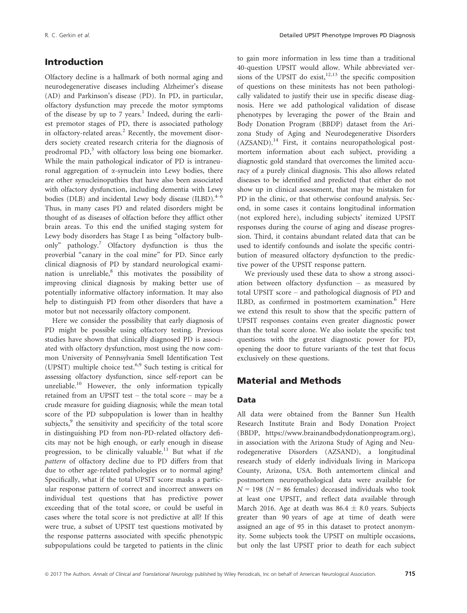## Introduction

Olfactory decline is a hallmark of both normal aging and neurodegenerative diseases including Alzheimer's disease (AD) and Parkinson's disease (PD). In PD, in particular, olfactory dysfunction may precede the motor symptoms of the disease by up to 7 years.<sup>1</sup> Indeed, during the earliest premotor stages of PD, there is associated pathology in olfactory-related areas.<sup>2</sup> Recently, the movement disorders society created research criteria for the diagnosis of prodromal  $PD$ ,<sup>3</sup> with olfactory loss being one biomarker. While the main pathological indicator of PD is intraneuronal aggregation of  $\alpha$ -synuclein into Lewy bodies, there are other synucleinopathies that have also been associated with olfactory dysfunction, including dementia with Lewy bodies (DLB) and incidental Lewy body disease  $(ILBD).<sup>4–6</sup>$ Thus, in many cases PD and related disorders might be thought of as diseases of olfaction before they afflict other brain areas. To this end the unified staging system for Lewy body disorders has Stage I as being "olfactory bulbonly" pathology.<sup>7</sup> Olfactory dysfunction is thus the proverbial "canary in the coal mine" for PD. Since early clinical diagnosis of PD by standard neurological examination is unreliable, $8$  this motivates the possibility of improving clinical diagnosis by making better use of potentially informative olfactory information. It may also help to distinguish PD from other disorders that have a motor but not necessarily olfactory component.

Here we consider the possibility that early diagnosis of PD might be possible using olfactory testing. Previous studies have shown that clinically diagnosed PD is associated with olfactory dysfunction, most using the now common University of Pennsylvania Smell Identification Test (UPSIT) multiple choice test.6,9 Such testing is critical for assessing olfactory dysfunction, since self-report can be unreliable. $10$  However, the only information typically retained from an UPSIT test – the total score – may be a crude measure for guiding diagnosis; while the mean total score of the PD subpopulation is lower than in healthy subjects,<sup>9</sup> the sensitivity and specificity of the total score in distinguishing PD from non-PD-related olfactory deficits may not be high enough, or early enough in disease progression, to be clinically valuable.<sup>11</sup> But what if the pattern of olfactory decline due to PD differs from that due to other age-related pathologies or to normal aging? Specifically, what if the total UPSIT score masks a particular response pattern of correct and incorrect answers on individual test questions that has predictive power exceeding that of the total score, or could be useful in cases where the total score is not predictive at all? If this were true, a subset of UPSIT test questions motivated by the response patterns associated with specific phenotypic subpopulations could be targeted to patients in the clinic to gain more information in less time than a traditional 40-question UPSIT would allow. While abbreviated versions of the UPSIT do exist, $12,13$  the specific composition of questions on these minitests has not been pathologically validated to justify their use in specific disease diagnosis. Here we add pathological validation of disease phenotypes by leveraging the power of the Brain and Body Donation Program (BBDP) dataset from the Arizona Study of Aging and Neurodegenerative Disorders  $(AZSAND).<sup>14</sup>$  First, it contains neuropathological postmortem information about each subject, providing a diagnostic gold standard that overcomes the limited accuracy of a purely clinical diagnosis. This also allows related diseases to be identified and predicted that either do not show up in clinical assessment, that may be mistaken for PD in the clinic, or that otherwise confound analysis. Second, in some cases it contains longitudinal information (not explored here), including subjects' itemized UPSIT responses during the course of aging and disease progression. Third, it contains abundant related data that can be used to identify confounds and isolate the specific contribution of measured olfactory dysfunction to the predictive power of the UPSIT response pattern.

We previously used these data to show a strong association between olfactory dysfunction – as measured by total UPSIT score – and pathological diagnosis of PD and ILBD, as confirmed in postmortem examination.<sup>6</sup> Here we extend this result to show that the specific pattern of UPSIT responses contains even greater diagnostic power than the total score alone. We also isolate the specific test questions with the greatest diagnostic power for PD, opening the door to future variants of the test that focus exclusively on these questions.

#### Material and Methods

#### Data

All data were obtained from the Banner Sun Health Research Institute Brain and Body Donation Project (BBDP, [https://www.brainandbodydonationprogram.org\)](https://www.brainandbodydonationprogram.org), in association with the Arizona Study of Aging and Neurodegenerative Disorders (AZSAND), a longitudinal research study of elderly individuals living in Maricopa County, Arizona, USA. Both antemortem clinical and postmortem neuropathological data were available for  $N = 198$  ( $N = 86$  females) deceased individuals who took at least one UPSIT, and reflect data available through March 2016. Age at death was  $86.4 \pm 8.0$  years. Subjects greater than 90 years of age at time of death were assigned an age of 95 in this dataset to protect anonymity. Some subjects took the UPSIT on multiple occasions, but only the last UPSIT prior to death for each subject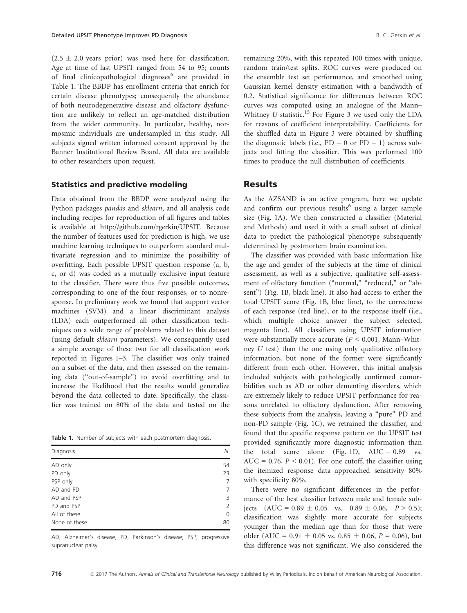$(2.5 \pm 2.0 \text{ years prior})$  was used here for classification. Age at time of last UPSIT ranged from 54 to 95; counts of final clinicopathological diagnoses<sup>6</sup> are provided in Table 1. The BBDP has enrollment criteria that enrich for certain disease phenotypes; consequently the abundance of both neurodegenerative disease and olfactory dysfunction are unlikely to reflect an age-matched distribution from the wider community. In particular, healthy, normosmic individuals are undersampled in this study. All subjects signed written informed consent approved by the Banner Institutional Review Board. All data are available to other researchers upon request.

#### Statistics and predictive modeling

Data obtained from the BBDP were analyzed using the Python packages pandas and sklearn, and all analysis code including recipes for reproduction of all figures and tables is available at<http://github.com/rgerkin/UPSIT>. Because the number of features used for prediction is high, we use machine learning techniques to outperform standard multivariate regression and to minimize the possibility of overfitting. Each possible UPSIT question response (a, b, c, or d) was coded as a mutually exclusive input feature to the classifier. There were thus five possible outcomes, corresponding to one of the four responses, or to nonresponse. In preliminary work we found that support vector machines (SVM) and a linear discriminant analysis (LDA) each outperformed all other classification techniques on a wide range of problems related to this dataset (using default sklearn parameters). We consequently used a simple average of these two for all classification work reported in Figures 1–3. The classifier was only trained on a subset of the data, and then assessed on the remaining data ("out-of-sample") to avoid overfitting and to increase the likelihood that the results would generalize beyond the data collected to date. Specifically, the classifier was trained on 80% of the data and tested on the

Table 1. Number of subjects with each postmortem diagnosis.

| Diagnosis     | Ν              |
|---------------|----------------|
| AD only       | 54             |
| PD only       | 23             |
| PSP only      | $\overline{7}$ |
| AD and PD     | 7              |
| AD and PSP    | $\overline{3}$ |
| PD and PSP    | $\overline{2}$ |
| All of these  | 0              |
| None of these | 80             |

AD, Alzheimer's disease; PD, Parkinson's disease; PSP, progressive supranuclear palsy.

remaining 20%, with this repeated 100 times with unique, random train/test splits. ROC curves were produced on the ensemble test set performance, and smoothed using Gaussian kernel density estimation with a bandwidth of 0.2. Statistical significance for differences between ROC curves was computed using an analogue of the Mann– Whitney  $U$  statistic.<sup>15</sup> For Figure 3 we used only the LDA for reasons of coefficient interpretability. Coefficients for the shuffled data in Figure 3 were obtained by shuffling the diagnostic labels (i.e.,  $PD = 0$  or  $PD = 1$ ) across subjects and fitting the classifier. This was performed 100 times to produce the null distribution of coefficients.

#### **Results**

As the AZSAND is an active program, here we update and confirm our previous results $6$  using a larger sample size (Fig. 1A). We then constructed a classifier (Material and Methods) and used it with a small subset of clinical data to predict the pathological phenotype subsequently determined by postmortem brain examination.

The classifier was provided with basic information like the age and gender of the subjects at the time of clinical assessment, as well as a subjective, qualitative self-assessment of olfactory function ("normal," "reduced," or "absent") (Fig. 1B, black line). It also had access to either the total UPSIT score (Fig. 1B, blue line), to the correctness of each response (red line), or to the response itself (i.e., which multiple choice answer the subject selected, magenta line). All classifiers using UPSIT information were substantially more accurate ( $P \le 0.001$ , Mann–Whitney U test) than the one using only qualitative olfactory information, but none of the former were significantly different from each other. However, this initial analysis included subjects with pathologically confirmed comorbidities such as AD or other dementing disorders, which are extremely likely to reduce UPSIT performance for reasons unrelated to olfactory dysfunction. After removing these subjects from the analysis, leaving a "pure" PD and non-PD sample (Fig. 1C), we retrained the classifier, and found that the specific response pattern on the UPSIT test provided significantly more diagnostic information than the total score alone (Fig. 1D,  $AUC = 0.89$  vs. AUC = 0.76,  $P < 0.01$ ). For one cutoff, the classifier using the itemized response data approached sensitivity 80% with specificity 80%.

There were no significant differences in the performance of the best classifier between male and female subjects  $(AUC = 0.89 \pm 0.05 \text{ vs. } 0.89 \pm 0.06, P > 0.5);$ classification was slightly more accurate for subjects younger than the median age than for those that were older (AUC = 0.91  $\pm$  0.05 vs. 0.85  $\pm$  0.06, P = 0.06), but this difference was not significant. We also considered the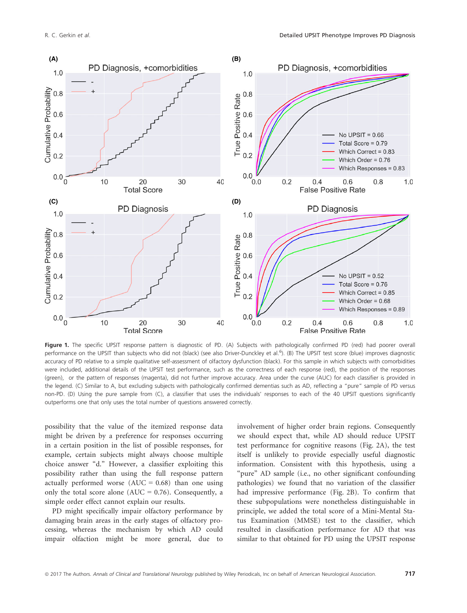

Figure 1. The specific UPSIT response pattern is diagnostic of PD. (A) Subjects with pathologically confirmed PD (red) had poorer overall performance on the UPSIT than subjects who did not (black) (see also Driver-Dunckley et al.<sup>6</sup>). (B) The UPSIT test score (blue) improves diagnostic accuracy of PD relative to a simple qualitative self-assessment of olfactory dysfunction (black). For this sample in which subjects with comorbidities were included, additional details of the UPSIT test performance, such as the correctness of each response (red), the position of the responses (green), or the pattern of responses (magenta), did not further improve accuracy. Area under the curve (AUC) for each classifier is provided in the legend. (C) Similar to A, but excluding subjects with pathologically confirmed dementias such as AD, reflecting a "pure" sample of PD versus non-PD. (D) Using the pure sample from (C), a classifier that uses the individuals' responses to each of the 40 UPSIT questions significantly outperforms one that only uses the total number of questions answered correctly.

possibility that the value of the itemized response data might be driven by a preference for responses occurring in a certain position in the list of possible responses, for example, certain subjects might always choose multiple choice answer "d." However, a classifier exploiting this possibility rather than using the full response pattern actually performed worse  $(AUC = 0.68)$  than one using only the total score alone  $(AUC = 0.76)$ . Consequently, a simple order effect cannot explain our results.

PD might specifically impair olfactory performance by damaging brain areas in the early stages of olfactory processing, whereas the mechanism by which AD could impair olfaction might be more general, due to involvement of higher order brain regions. Consequently we should expect that, while AD should reduce UPSIT test performance for cognitive reasons (Fig. 2A), the test itself is unlikely to provide especially useful diagnostic information. Consistent with this hypothesis, using a "pure" AD sample (i.e., no other significant confounding pathologies) we found that no variation of the classifier had impressive performance (Fig. 2B). To confirm that these subpopulations were nonetheless distinguishable in principle, we added the total score of a Mini-Mental Status Examination (MMSE) test to the classifier, which resulted in classification performance for AD that was similar to that obtained for PD using the UPSIT response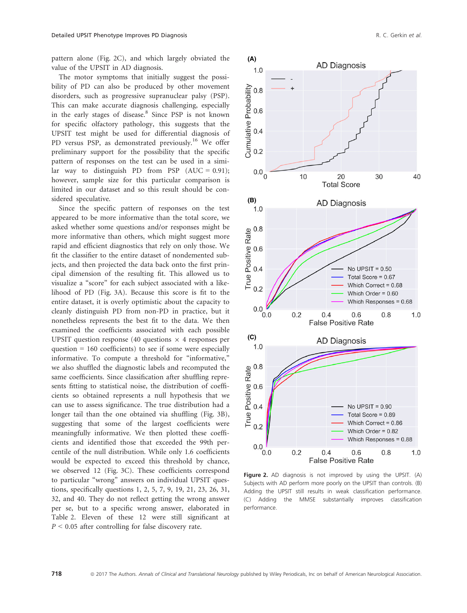pattern alone (Fig. 2C), and which largely obviated the value of the UPSIT in AD diagnosis.

The motor symptoms that initially suggest the possibility of PD can also be produced by other movement disorders, such as progressive supranuclear palsy (PSP). This can make accurate diagnosis challenging, especially in the early stages of disease.<sup>8</sup> Since PSP is not known for specific olfactory pathology, this suggests that the UPSIT test might be used for differential diagnosis of PD versus PSP, as demonstrated previously.<sup>16</sup> We offer preliminary support for the possibility that the specific pattern of responses on the test can be used in a similar way to distinguish PD from PSP  $(AUC = 0.91)$ ; however, sample size for this particular comparison is limited in our dataset and so this result should be considered speculative.

Since the specific pattern of responses on the test appeared to be more informative than the total score, we asked whether some questions and/or responses might be more informative than others, which might suggest more rapid and efficient diagnostics that rely on only those. We fit the classifier to the entire dataset of nondemented subjects, and then projected the data back onto the first principal dimension of the resulting fit. This allowed us to visualize a "score" for each subject associated with a likelihood of PD (Fig. 3A). Because this score is fit to the entire dataset, it is overly optimistic about the capacity to cleanly distinguish PD from non-PD in practice, but it nonetheless represents the best fit to the data. We then examined the coefficients associated with each possible UPSIT question response (40 questions  $\times$  4 responses per question  $= 160$  coefficients) to see if some were especially informative. To compute a threshold for "informative," we also shuffled the diagnostic labels and recomputed the same coefficients. Since classification after shuffling represents fitting to statistical noise, the distribution of coefficients so obtained represents a null hypothesis that we can use to assess significance. The true distribution had a longer tail than the one obtained via shuffling (Fig. 3B), suggesting that some of the largest coefficients were meaningfully informative. We then plotted these coefficients and identified those that exceeded the 99th percentile of the null distribution. While only 1.6 coefficients would be expected to exceed this threshold by chance, we observed 12 (Fig. 3C). These coefficients correspond to particular "wrong" answers on individual UPSIT questions, specifically questions 1, 2, 5, 7, 9, 19, 21, 23, 26, 31, 32, and 40. They do not reflect getting the wrong answer per se, but to a specific wrong answer, elaborated in Table 2. Eleven of these 12 were still significant at  $P < 0.05$  after controlling for false discovery rate.



Figure 2. AD diagnosis is not improved by using the UPSIT. (A) Subjects with AD perform more poorly on the UPSIT than controls. (B) Adding the UPSIT still results in weak classification performance. (C) Adding the MMSE substantially improves classification performance.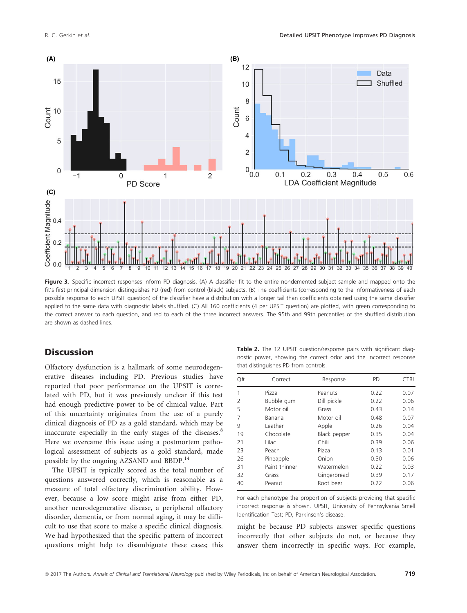

Figure 3. Specific incorrect responses inform PD diagnosis. (A) A classifier fit to the entire nondemented subject sample and mapped onto the fit's first principal dimension distinguishes PD (red) from control (black) subjects. (B) The coefficients (corresponding to the informativeness of each possible response to each UPSIT question) of the classifier have a distribution with a longer tail than coefficients obtained using the same classifier applied to the same data with diagnostic labels shuffled. (C) All 160 coefficients (4 per UPSIT question) are plotted, with green corresponding to the correct answer to each question, and red to each of the three incorrect answers. The 95th and 99th percentiles of the shuffled distribution are shown as dashed lines.

#### **Discussion**

Olfactory dysfunction is a hallmark of some neurodegenerative diseases including PD. Previous studies have reported that poor performance on the UPSIT is correlated with PD, but it was previously unclear if this test had enough predictive power to be of clinical value. Part of this uncertainty originates from the use of a purely clinical diagnosis of PD as a gold standard, which may be inaccurate especially in the early stages of the diseases.<sup>8</sup> Here we overcame this issue using a postmortem pathological assessment of subjects as a gold standard, made possible by the ongoing AZSAND and BBDP.<sup>14</sup>

The UPSIT is typically scored as the total number of questions answered correctly, which is reasonable as a measure of total olfactory discrimination ability. However, because a low score might arise from either PD, another neurodegenerative disease, a peripheral olfactory disorder, dementia, or from normal aging, it may be difficult to use that score to make a specific clinical diagnosis. We had hypothesized that the specific pattern of incorrect questions might help to disambiguate these cases; this

Table 2. The 12 UPSIT question/response pairs with significant diagnostic power, showing the correct odor and the incorrect response that distinguishes PD from controls.

| Q#             | Correct       | Response     | <b>PD</b> | <b>CTRL</b> |
|----------------|---------------|--------------|-----------|-------------|
|                | Pizza         | Peanuts      | 0.22      | 0.07        |
| $\overline{2}$ | Bubble gum    | Dill pickle  | 0.22      | 0.06        |
| 5              | Motor oil     | Grass        | 0.43      | 0.14        |
| 7              | Banana        | Motor oil    | 0.48      | 0.07        |
| 9              | Leather       | Apple        | 0.26      | 0.04        |
| 19             | Chocolate     | Black pepper | 0.35      | 0.04        |
| 21             | Lilac         | Chili        | 0.39      | 0.06        |
| 23             | Peach         | Pizza        | 0.13      | 0.01        |
| 26             | Pineapple     | Onion        | 0.30      | 0.06        |
| 31             | Paint thinner | Watermelon   | 0.22      | 0.03        |
| 32             | Grass         | Gingerbread  | 0.39      | 0.17        |
| 40             | Peanut        | Root beer    | 0.22      | 0.06        |

For each phenotype the proportion of subjects providing that specific incorrect response is shown. UPSIT, University of Pennsylvania Smell Identification Test; PD, Parkinson's disease.

might be because PD subjects answer specific questions incorrectly that other subjects do not, or because they answer them incorrectly in specific ways. For example,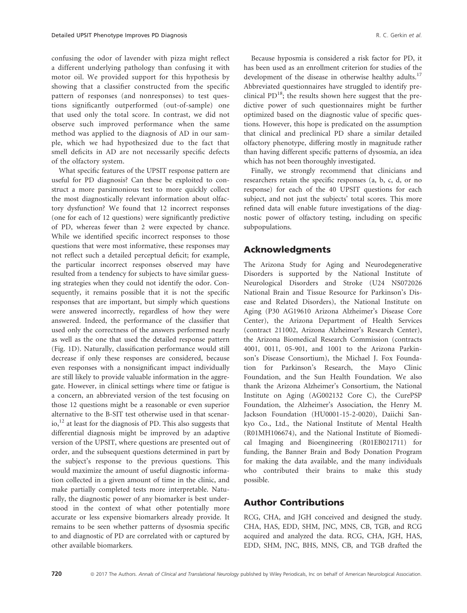confusing the odor of lavender with pizza might reflect a different underlying pathology than confusing it with motor oil. We provided support for this hypothesis by showing that a classifier constructed from the specific pattern of responses (and nonresponses) to test questions significantly outperformed (out-of-sample) one that used only the total score. In contrast, we did not observe such improved performance when the same method was applied to the diagnosis of AD in our sample, which we had hypothesized due to the fact that smell deficits in AD are not necessarily specific defects of the olfactory system.

What specific features of the UPSIT response pattern are useful for PD diagnosis? Can these be exploited to construct a more parsimonious test to more quickly collect the most diagnostically relevant information about olfactory dysfunction? We found that 12 incorrect responses (one for each of 12 questions) were significantly predictive of PD, whereas fewer than 2 were expected by chance. While we identified specific incorrect responses to those questions that were most informative, these responses may not reflect such a detailed perceptual deficit; for example, the particular incorrect responses observed may have resulted from a tendency for subjects to have similar guessing strategies when they could not identify the odor. Consequently, it remains possible that it is not the specific responses that are important, but simply which questions were answered incorrectly, regardless of how they were answered. Indeed, the performance of the classifier that used only the correctness of the answers performed nearly as well as the one that used the detailed response pattern (Fig. 1D). Naturally, classification performance would still decrease if only these responses are considered, because even responses with a nonsignificant impact individually are still likely to provide valuable information in the aggregate. However, in clinical settings where time or fatigue is a concern, an abbreviated version of the test focusing on those 12 questions might be a reasonable or even superior alternative to the B-SIT test otherwise used in that scenar- $\mathrm{io}$ ,<sup>12</sup> at least for the diagnosis of PD. This also suggests that differential diagnosis might be improved by an adaptive version of the UPSIT, where questions are presented out of order, and the subsequent questions determined in part by the subject's response to the previous questions. This would maximize the amount of useful diagnostic information collected in a given amount of time in the clinic, and make partially completed tests more interpretable. Naturally, the diagnostic power of any biomarker is best understood in the context of what other potentially more accurate or less expensive biomarkers already provide. It remains to be seen whether patterns of dysosmia specific to and diagnostic of PD are correlated with or captured by other available biomarkers.

Because hyposmia is considered a risk factor for PD, it has been used as an enrollment criterion for studies of the development of the disease in otherwise healthy adults.<sup>17</sup> Abbreviated questionnaires have struggled to identify preclinical  $PD^{18}$ ; the results shown here suggest that the predictive power of such questionnaires might be further optimized based on the diagnostic value of specific questions. However, this hope is predicated on the assumption that clinical and preclinical PD share a similar detailed olfactory phenotype, differing mostly in magnitude rather than having different specific patterns of dysosmia, an idea which has not been thoroughly investigated.

Finally, we strongly recommend that clinicians and researchers retain the specific responses (a, b, c, d, or no response) for each of the 40 UPSIT questions for each subject, and not just the subjects' total scores. This more refined data will enable future investigations of the diagnostic power of olfactory testing, including on specific subpopulations.

## Acknowledgments

The Arizona Study for Aging and Neurodegenerative Disorders is supported by the National Institute of Neurological Disorders and Stroke (U24 NS072026 National Brain and Tissue Resource for Parkinson's Disease and Related Disorders), the National Institute on Aging (P30 AG19610 Arizona Alzheimer's Disease Core Center), the Arizona Department of Health Services (contract 211002, Arizona Alzheimer's Research Center), the Arizona Biomedical Research Commission (contracts 4001, 0011, 05-901, and 1001 to the Arizona Parkinson's Disease Consortium), the Michael J. Fox Foundation for Parkinson's Research, the Mayo Clinic Foundation, and the Sun Health Foundation. We also thank the Arizona Alzheimer's Consortium, the National Institute on Aging (AG002132 Core C), the CurePSP Foundation, the Alzheimer's Association, the Henry M. Jackson Foundation (HU0001-15-2-0020), Daiichi Sankyo Co., Ltd., the National Institute of Mental Health (R01MH106674), and the National Institute of Biomedical Imaging and Bioengineering (R01EB021711) for funding, the Banner Brain and Body Donation Program for making the data available, and the many individuals who contributed their brains to make this study possible.

## Author Contributions

RCG, CHA, and JGH conceived and designed the study. CHA, HAS, EDD, SHM, JNC, MNS, CB, TGB, and RCG acquired and analyzed the data. RCG, CHA, JGH, HAS, EDD, SHM, JNC, BHS, MNS, CB, and TGB drafted the